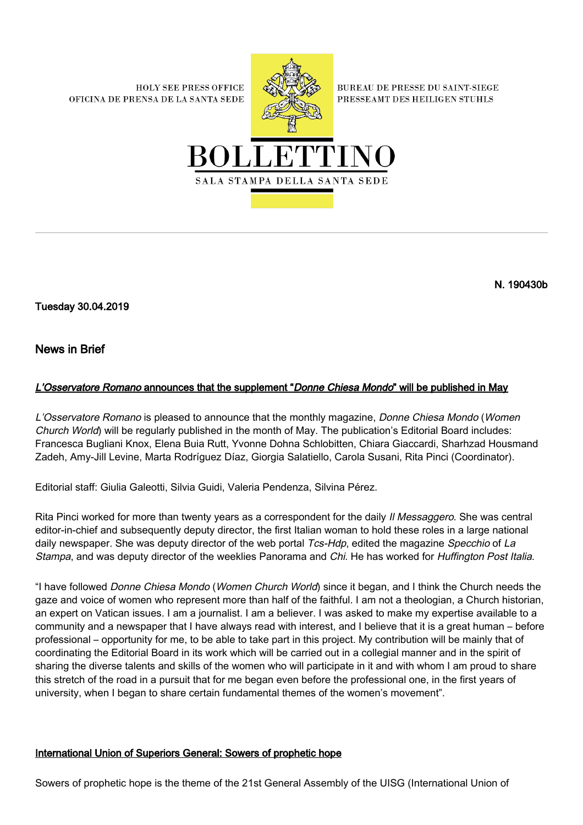**HOLY SEE PRESS OFFICE** OFICINA DE PRENSA DE LA SANTA SEDE



**BUREAU DE PRESSE DU SAINT-SIEGE** PRESSEAMT DES HEILIGEN STUHLS



N. 190430b

Tuesday 30.04.2019

News in Brief

## L'Osservatore Romano announces that the supplement "Donne Chiesa Mondo" will be published in May

L'Osservatore Romano is pleased to announce that the monthly magazine, Donne Chiesa Mondo (Women Church World) will be regularly published in the month of May. The publication's Editorial Board includes: Francesca Bugliani Knox, Elena Buia Rutt, Yvonne Dohna Schlobitten, Chiara Giaccardi, Sharhzad Housmand Zadeh, Amy-Jill Levine, Marta Rodríguez Díaz, Giorgia Salatiello, Carola Susani, Rita Pinci (Coordinator).

Editorial staff: Giulia Galeotti, Silvia Guidi, Valeria Pendenza, Silvina Pérez.

Rita Pinci worked for more than twenty years as a correspondent for the daily II Messaggero. She was central editor-in-chief and subsequently deputy director, the first Italian woman to hold these roles in a large national daily newspaper. She was deputy director of the web portal Tcs-Hdp, edited the magazine Specchio of La Stampa, and was deputy director of the weeklies Panorama and Chi. He has worked for Huffington Post Italia.

"I have followed Donne Chiesa Mondo (Women Church World) since it began, and I think the Church needs the gaze and voice of women who represent more than half of the faithful. I am not a theologian, a Church historian, an expert on Vatican issues. I am a journalist. I am a believer. I was asked to make my expertise available to a community and a newspaper that I have always read with interest, and I believe that it is a great human – before professional – opportunity for me, to be able to take part in this project. My contribution will be mainly that of coordinating the Editorial Board in its work which will be carried out in a collegial manner and in the spirit of sharing the diverse talents and skills of the women who will participate in it and with whom I am proud to share this stretch of the road in a pursuit that for me began even before the professional one, in the first years of university, when I began to share certain fundamental themes of the women's movement".

## International Union of Superiors General: Sowers of prophetic hope

Sowers of prophetic hope is the theme of the 21st General Assembly of the UISG (International Union of